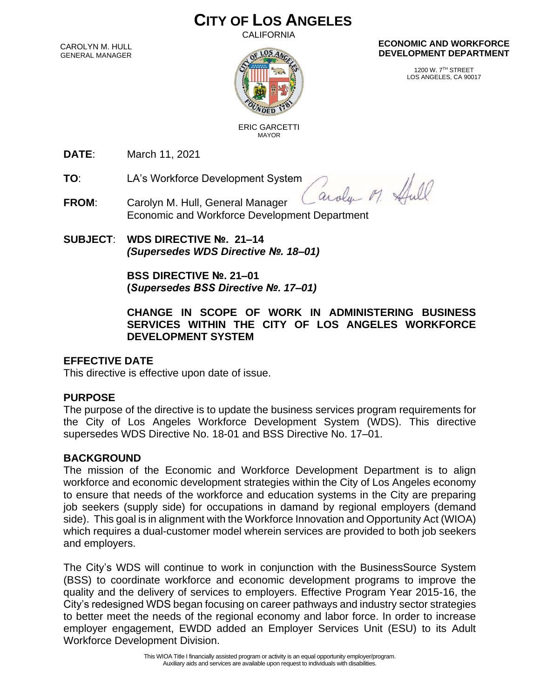# **CITY OF LOS ANGELES**

CALIFORNIA

CAROLYN M. HULL GENERAL MANAGER



#### **ECONOMIC AND WORKFORCE DEVELOPMENT DEPARTMENT**

1200 W. 7TH STREET LOS ANGELES, CA 90017

 ERIC GARCETTI MAYOR

**DATE**: March 11, 2021

**TO**: LA's Workforce Development System

aroly M. Hull

- **FROM**: Carolyn M. Hull, General Manager Economic and Workforce Development Department
- **SUBJECT**: **WDS DIRECTIVE №. 21–14** *(Supersedes WDS Directive №. 18–01)*

**BSS DIRECTIVE №. 21–01 (***Supersedes BSS Directive №. 17–01)*

**CHANGE IN SCOPE OF WORK IN ADMINISTERING BUSINESS SERVICES WITHIN THE CITY OF LOS ANGELES WORKFORCE DEVELOPMENT SYSTEM**

# **EFFECTIVE DATE**

This directive is effective upon date of issue.

#### **PURPOSE**

The purpose of the directive is to update the business services program requirements for the City of Los Angeles Workforce Development System (WDS). This directive supersedes WDS Directive No. 18-01 and BSS Directive No. 17–01.

# **BACKGROUND**

The mission of the Economic and Workforce Development Department is to align workforce and economic development strategies within the City of Los Angeles economy to ensure that needs of the workforce and education systems in the City are preparing job seekers (supply side) for occupations in damand by regional employers (demand side). This goal is in alignment with the Workforce Innovation and Opportunity Act (WIOA) which requires a dual-customer model wherein services are provided to both job seekers and employers.

The City's WDS will continue to work in conjunction with the BusinessSource System (BSS) to coordinate workforce and economic development programs to improve the quality and the delivery of services to employers. Effective Program Year 2015-16, the City's redesigned WDS began focusing on career pathways and industry sector strategies to better meet the needs of the regional economy and labor force. In order to increase employer engagement, EWDD added an Employer Services Unit (ESU) to its Adult Workforce Development Division.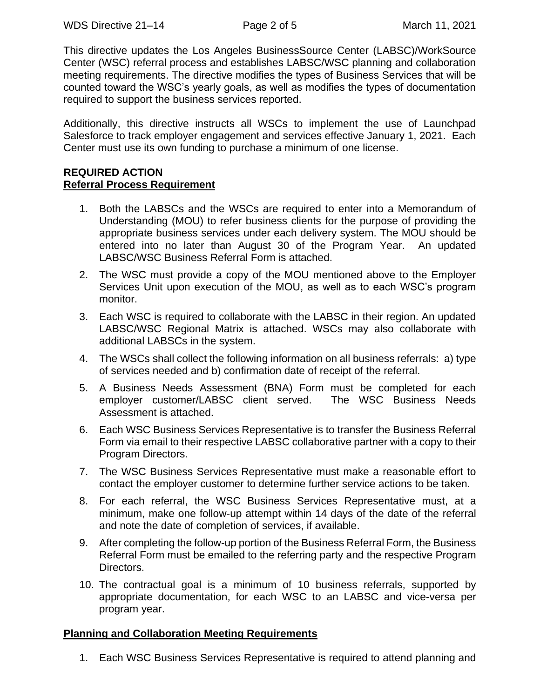This directive updates the Los Angeles BusinessSource Center (LABSC)/WorkSource Center (WSC) referral process and establishes LABSC/WSC planning and collaboration meeting requirements. The directive modifies the types of Business Services that will be counted toward the WSC's yearly goals, as well as modifies the types of documentation required to support the business services reported.

Additionally, this directive instructs all WSCs to implement the use of Launchpad Salesforce to track employer engagement and services effective January 1, 2021. Each Center must use its own funding to purchase a minimum of one license.

#### **REQUIRED ACTION Referral Process Requirement**

- 1. Both the LABSCs and the WSCs are required to enter into a Memorandum of Understanding (MOU) to refer business clients for the purpose of providing the appropriate business services under each delivery system. The MOU should be entered into no later than August 30 of the Program Year. An updated LABSC/WSC Business Referral Form is attached.
- 2. The WSC must provide a copy of the MOU mentioned above to the Employer Services Unit upon execution of the MOU, as well as to each WSC's program monitor.
- 3. Each WSC is required to collaborate with the LABSC in their region. An updated LABSC/WSC Regional Matrix is attached. WSCs may also collaborate with additional LABSCs in the system.
- 4. The WSCs shall collect the following information on all business referrals: a) type of services needed and b) confirmation date of receipt of the referral.
- 5. A Business Needs Assessment (BNA) Form must be completed for each employer customer/LABSC client served. The WSC Business Needs Assessment is attached.
- 6. Each WSC Business Services Representative is to transfer the Business Referral Form via email to their respective LABSC collaborative partner with a copy to their Program Directors.
- 7. The WSC Business Services Representative must make a reasonable effort to contact the employer customer to determine further service actions to be taken.
- 8. For each referral, the WSC Business Services Representative must, at a minimum, make one follow-up attempt within 14 days of the date of the referral and note the date of completion of services, if available.
- 9. After completing the follow-up portion of the Business Referral Form, the Business Referral Form must be emailed to the referring party and the respective Program Directors.
- 10. The contractual goal is a minimum of 10 business referrals, supported by appropriate documentation, for each WSC to an LABSC and vice-versa per program year.

#### **Planning and Collaboration Meeting Requirements**

1. Each WSC Business Services Representative is required to attend planning and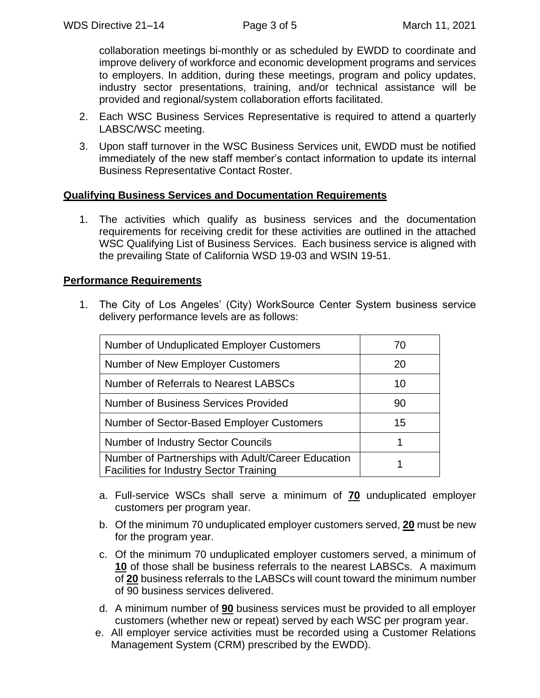collaboration meetings bi-monthly or as scheduled by EWDD to coordinate and improve delivery of workforce and economic development programs and services to employers. In addition, during these meetings, program and policy updates, industry sector presentations, training, and/or technical assistance will be provided and regional/system collaboration efforts facilitated.

- 2. Each WSC Business Services Representative is required to attend a quarterly LABSC/WSC meeting.
- 3. Upon staff turnover in the WSC Business Services unit, EWDD must be notified immediately of the new staff member's contact information to update its internal Business Representative Contact Roster.

#### **Qualifying Business Services and Documentation Requirements**

1. The activities which qualify as business services and the documentation requirements for receiving credit for these activities are outlined in the attached WSC Qualifying List of Business Services. Each business service is aligned with the prevailing State of California WSD 19-03 and WSIN 19-51.

#### **Performance Requirements**

1. The City of Los Angeles' (City) WorkSource Center System business service delivery performance levels are as follows:

| <b>Number of Unduplicated Employer Customers</b>                                                     | 70 |
|------------------------------------------------------------------------------------------------------|----|
| Number of New Employer Customers                                                                     | 20 |
| <b>Number of Referrals to Nearest LABSCs</b>                                                         | 10 |
| Number of Business Services Provided                                                                 | 90 |
| Number of Sector-Based Employer Customers                                                            | 15 |
| <b>Number of Industry Sector Councils</b>                                                            | 1  |
| Number of Partnerships with Adult/Career Education<br><b>Facilities for Industry Sector Training</b> |    |

- a. Full-service WSCs shall serve a minimum of **70** unduplicated employer customers per program year.
- b. Of the minimum 70 unduplicated employer customers served, **20** must be new for the program year.
- c. Of the minimum 70 unduplicated employer customers served, a minimum of **10** of those shall be business referrals to the nearest LABSCs. A maximum of **20** business referrals to the LABSCs will count toward the minimum number of 90 business services delivered.
- d. A minimum number of **90** business services must be provided to all employer customers (whether new or repeat) served by each WSC per program year.
- e. All employer service activities must be recorded using a Customer Relations Management System (CRM) prescribed by the EWDD).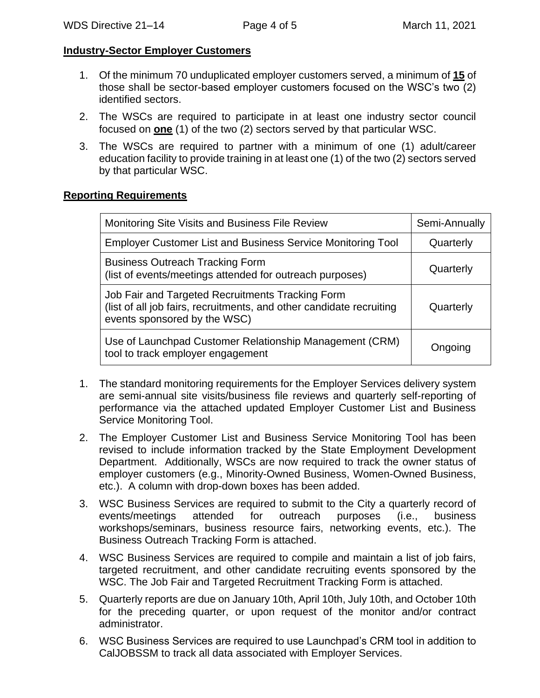#### **Industry-Sector Employer Customers**

- 1. Of the minimum 70 unduplicated employer customers served, a minimum of **15** of those shall be sector-based employer customers focused on the WSC's two (2) identified sectors.
- 2. The WSCs are required to participate in at least one industry sector council focused on **one** (1) of the two (2) sectors served by that particular WSC.
- 3. The WSCs are required to partner with a minimum of one (1) adult/career education facility to provide training in at least one (1) of the two (2) sectors served by that particular WSC.

### **Reporting Requirements**

| Monitoring Site Visits and Business File Review                                                                                                          | Semi-Annually |
|----------------------------------------------------------------------------------------------------------------------------------------------------------|---------------|
| <b>Employer Customer List and Business Service Monitoring Tool</b>                                                                                       | Quarterly     |
| <b>Business Outreach Tracking Form</b><br>(list of events/meetings attended for outreach purposes)                                                       | Quarterly     |
| Job Fair and Targeted Recruitments Tracking Form<br>(list of all job fairs, recruitments, and other candidate recruiting<br>events sponsored by the WSC) | Quarterly     |
| Use of Launchpad Customer Relationship Management (CRM)<br>tool to track employer engagement                                                             | Ongoing       |

- 1. The standard monitoring requirements for the Employer Services delivery system are semi-annual site visits/business file reviews and quarterly self-reporting of performance via the attached updated Employer Customer List and Business Service Monitoring Tool.
- 2. The Employer Customer List and Business Service Monitoring Tool has been revised to include information tracked by the State Employment Development Department. Additionally, WSCs are now required to track the owner status of employer customers (e.g., Minority-Owned Business, Women-Owned Business, etc.). A column with drop-down boxes has been added.
- 3. WSC Business Services are required to submit to the City a quarterly record of events/meetings attended for outreach purposes (i.e., business workshops/seminars, business resource fairs, networking events, etc.). The Business Outreach Tracking Form is attached.
- 4. WSC Business Services are required to compile and maintain a list of job fairs, targeted recruitment, and other candidate recruiting events sponsored by the WSC. The Job Fair and Targeted Recruitment Tracking Form is attached.
- 5. Quarterly reports are due on January 10th, April 10th, July 10th, and October 10th for the preceding quarter, or upon request of the monitor and/or contract administrator.
- 6. WSC Business Services are required to use Launchpad's CRM tool in addition to CalJOBSSM to track all data associated with Employer Services.